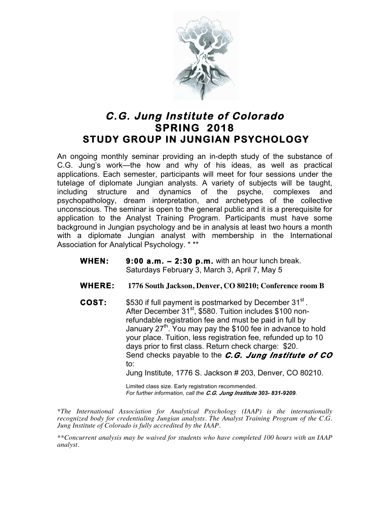

## **C.G. Jung Institute of Colorado SPRING 2018 STUDY GROUP IN JUNGIAN PSYCHOLOGY**

An ongoing monthly seminar providing an in-depth study of the substance of C.G. Jung's work—the how and why of his ideas, as well as practical applications. Each semester, participants will meet for four sessions under the tutelage of diplomate Jungian analysts. A variety of subjects will be taught, including structure and dynamics of the psyche, complexes and psychopathology, dream interpretation, and archetypes of the collective unconscious. The seminar is open to the general public and it is a prerequisite for application to the Analyst Training Program. Participants must have some background in Jungian psychology and be in analysis at least two hours a month with a diplomate Jungian analyst with membership in the International Association for Analytical Psychology. \* \*\*

- **WHEN: 9:00 a.m. 2:30 p.m.** with an hour lunch break. Saturdays February 3, March 3, April 7, May 5
- **WHERE: 1776 South Jackson, Denver, CO 80210; Conference room B**
- **COST:** \$530 if full payment is postmarked by December 31<sup>st</sup>. After December 31<sup>st</sup>, \$580. Tuition includes \$100 nonrefundable registration fee and must be paid in full by January 27<sup>th</sup>. You may pay the \$100 fee in advance to hold your place. Tuition, less registration fee, refunded up to 10 days prior to first class. Return check charge: \$20. Send checks payable to the *C.G. Jung Institute of CO* to: Jung Institute, 1776 S. Jackson # 203, Denver, CO 80210.

Limited class size. Early registration recommended. *For further information, call the C.G. Jung Institute 303- 831-9209.*

*\*The International Association for Analytical Psychology (IAAP) is the internationally recognized body for credentialing Jungian analysts. The Analyst Training Program of the C.G. Jung Institute of Colorado is fully accredited by the IAAP.* 

*\*\*Concurrent analysis may be waived for students who have completed 100 hours with an IAAP analyst.*